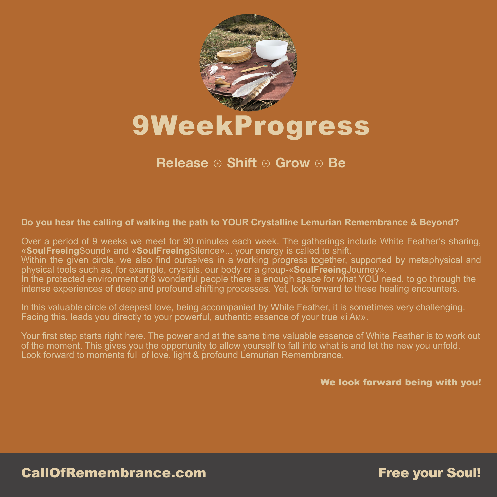

## **Release** ☉ **Shift** ☉ **Grow** ☉ **Be**

## **Do you hear the calling of walking the path to YOUR Crystalline Lemurian Remembrance & Beyond?**

Over a period of 9 weeks we meet for 90 minutes each week. The gatherings include White Feather's sharing, «**SoulFreeing**Sound» and «**SoulFreeing**Silence»... your energy is called to shift. Within the given circle, we also find ourselves in a working progress together, supported by metaphysical and physical tools such as, for example, crystals, our body or a group-«**SoulFreeing**Journey». In the protected environment of 8 wonderful people there is enough space for what YOU need, to go through the intense experiences of deep and profound shifting processes. Yet, look forward to these healing encounters.

In this valuable circle of deepest love, being accompanied by White Feather, it is sometimes very challenging. Facing this, leads you directly to your powerful, authentic essence of your true «i AM».

Your first step starts right here. The power and at the same time valuable essence of White Feather is to work out of the moment. This gives you the opportunity to allow yourself to fall into what is and let the new you unfold. Look forward to moments full of love, light & profound Lemurian Remembrance.

We look forward being with you!

CallOfRemembrance.com **Example 20 Transference** Free your Soul!